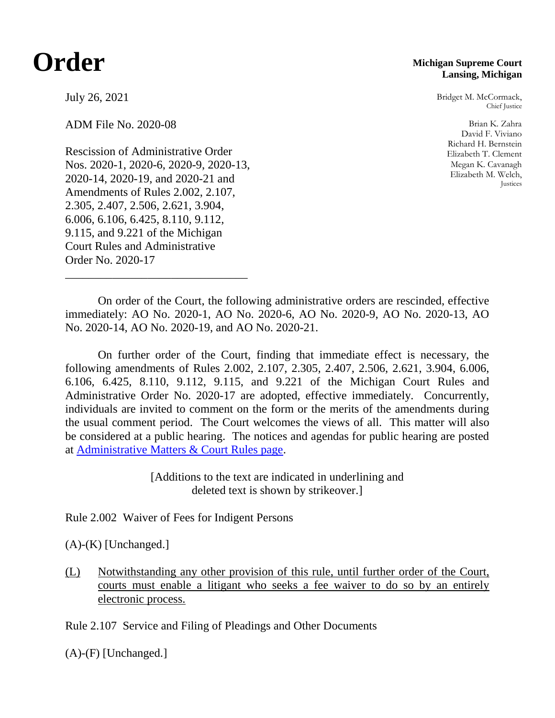## **Order**

## **Michigan Supreme Court Lansing, Michigan**

Bridget M. McCormack, Chief Justice

Brian K. Zahra David F. Viviano Richard H. Bernstein Elizabeth T. Clement Megan K. Cavanagh Elizabeth M. Welch, Justices

July 26, 2021

ADM File No. 2020-08

Rescission of Administrative Order Nos. 2020-1, 2020-6, 2020-9, 2020-13, 2020-14, 2020-19, and 2020-21 and Amendments of Rules 2.002, 2.107, 2.305, 2.407, 2.506, 2.621, 3.904, 6.006, 6.106, 6.425, 8.110, 9.112, 9.115, and 9.221 of the Michigan Court Rules and Administrative Order No. 2020-17

\_\_\_\_\_\_\_\_\_\_\_\_\_\_\_\_\_\_\_\_\_\_\_\_\_\_\_\_\_\_\_

On order of the Court, the following administrative orders are rescinded, effective immediately: AO No. 2020-1, AO No. 2020-6, AO No. 2020-9, AO No. 2020-13, AO No. 2020-14, AO No. 2020-19, and AO No. 2020-21.

On further order of the Court, finding that immediate effect is necessary, the following amendments of Rules 2.002, 2.107, 2.305, 2.407, 2.506, 2.621, 3.904, 6.006, 6.106, 6.425, 8.110, 9.112, 9.115, and 9.221 of the Michigan Court Rules and Administrative Order No. 2020-17 are adopted, effective immediately. Concurrently, individuals are invited to comment on the form or the merits of the amendments during the usual comment period. The Court welcomes the views of all. This matter will also be considered at a public hearing. The notices and agendas for public hearing are posted at [Administrative Matters & Court Rules page.](http://courts.mi.gov/courts/michigansupremecourt/rules/pages/public-administrative-hearings.aspx)

> [Additions to the text are indicated in underlining and deleted text is shown by strikeover.]

Rule 2.002 Waiver of Fees for Indigent Persons

(A)-(K) [Unchanged.]

(L) Notwithstanding any other provision of this rule, until further order of the Court, courts must enable a litigant who seeks a fee waiver to do so by an entirely electronic process.

Rule 2.107 Service and Filing of Pleadings and Other Documents

(A)-(F) [Unchanged.]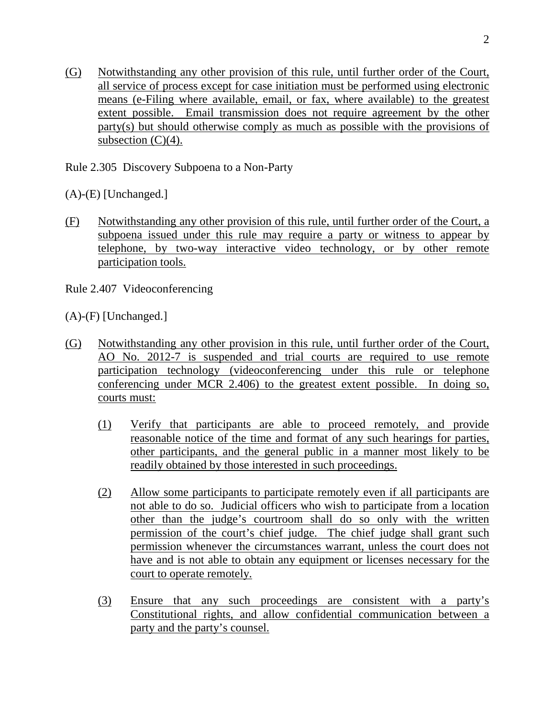- (G) Notwithstanding any other provision of this rule, until further order of the Court, all service of process except for case initiation must be performed using electronic means (e-Filing where available, email, or fax, where available) to the greatest extent possible. Email transmission does not require agreement by the other party(s) but should otherwise comply as much as possible with the provisions of subsection  $(C)(4)$ .
- Rule 2.305 Discovery Subpoena to a Non-Party
- (A)-(E) [Unchanged.]
- (F) Notwithstanding any other provision of this rule, until further order of the Court, a subpoena issued under this rule may require a party or witness to appear by telephone, by two-way interactive video technology, or by other remote participation tools.
- Rule 2.407 Videoconferencing
- (A)-(F) [Unchanged.]
- (G) Notwithstanding any other provision in this rule, until further order of the Court, AO No. 2012-7 is suspended and trial courts are required to use remote participation technology (videoconferencing under this rule or telephone conferencing under MCR 2.406) to the greatest extent possible. In doing so, courts must:
	- (1) Verify that participants are able to proceed remotely, and provide reasonable notice of the time and format of any such hearings for parties, other participants, and the general public in a manner most likely to be readily obtained by those interested in such proceedings.
	- (2) Allow some participants to participate remotely even if all participants are not able to do so. Judicial officers who wish to participate from a location other than the judge's courtroom shall do so only with the written permission of the court's chief judge. The chief judge shall grant such permission whenever the circumstances warrant, unless the court does not have and is not able to obtain any equipment or licenses necessary for the court to operate remotely.
	- (3) Ensure that any such proceedings are consistent with a party's Constitutional rights, and allow confidential communication between a party and the party's counsel.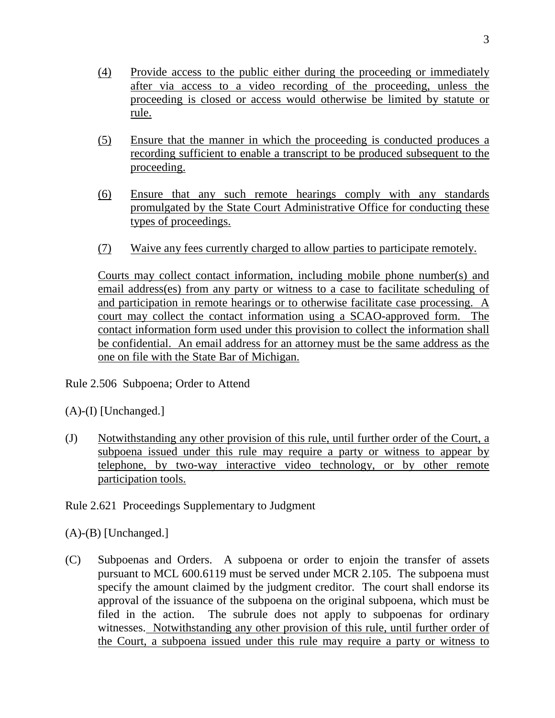- (5) Ensure that the manner in which the proceeding is conducted produces a recording sufficient to enable a transcript to be produced subsequent to the proceeding.
- (6) Ensure that any such remote hearings comply with any standards promulgated by the State Court Administrative Office for conducting these types of proceedings.
- (7) Waive any fees currently charged to allow parties to participate remotely.

Courts may collect contact information, including mobile phone number(s) and email address(es) from any party or witness to a case to facilitate scheduling of and participation in remote hearings or to otherwise facilitate case processing. A court may collect the contact information using a SCAO-approved form. The contact information form used under this provision to collect the information shall be confidential. An email address for an attorney must be the same address as the one on file with the State Bar of Michigan.

Rule 2.506 Subpoena; Order to Attend

(A)-(I) [Unchanged.]

(J) Notwithstanding any other provision of this rule, until further order of the Court, a subpoena issued under this rule may require a party or witness to appear by telephone, by two-way interactive video technology, or by other remote participation tools.

Rule 2.621 Proceedings Supplementary to Judgment

(A)-(B) [Unchanged.]

(C) Subpoenas and Orders. A subpoena or order to enjoin the transfer of assets pursuant to MCL 600.6119 must be served under MCR 2.105. The subpoena must specify the amount claimed by the judgment creditor. The court shall endorse its approval of the issuance of the subpoena on the original subpoena, which must be filed in the action. The subrule does not apply to subpoenas for ordinary witnesses. Notwithstanding any other provision of this rule, until further order of the Court, a subpoena issued under this rule may require a party or witness to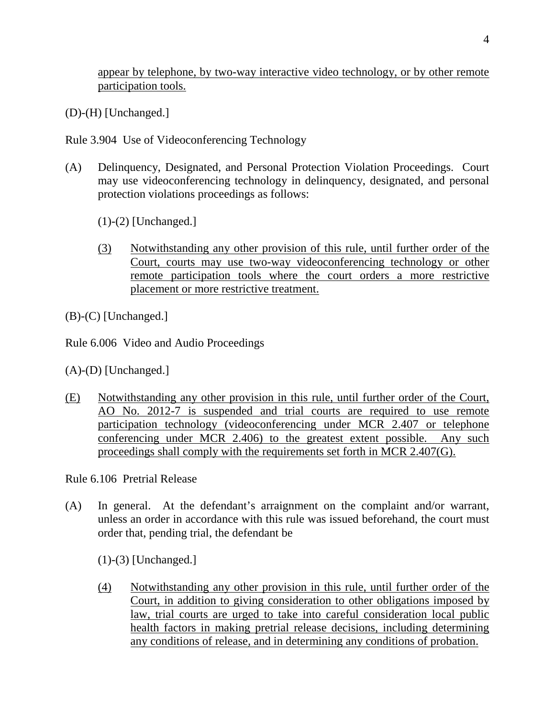appear by telephone, by two-way interactive video technology, or by other remote participation tools.

(D)-(H) [Unchanged.]

Rule 3.904 Use of Videoconferencing Technology

- (A) Delinquency, Designated, and Personal Protection Violation Proceedings. Court may use videoconferencing technology in delinquency, designated, and personal protection violations proceedings as follows:
	- (1)-(2) [Unchanged.]
	- (3) Notwithstanding any other provision of this rule, until further order of the Court, courts may use two-way videoconferencing technology or other remote participation tools where the court orders a more restrictive placement or more restrictive treatment.
- (B)-(C) [Unchanged.]

Rule 6.006 Video and Audio Proceedings

(A)-(D) [Unchanged.]

(E) Notwithstanding any other provision in this rule, until further order of the Court, AO No. 2012-7 is suspended and trial courts are required to use remote participation technology (videoconferencing under MCR 2.407 or telephone conferencing under MCR 2.406) to the greatest extent possible. Any such proceedings shall comply with the requirements set forth in MCR 2.407(G).

Rule 6.106 Pretrial Release

(A) In general. At the defendant's arraignment on the complaint and/or warrant, unless an order in accordance with this rule was issued beforehand, the court must order that, pending trial, the defendant be

(1)-(3) [Unchanged.]

(4) Notwithstanding any other provision in this rule, until further order of the Court, in addition to giving consideration to other obligations imposed by law, trial courts are urged to take into careful consideration local public health factors in making pretrial release decisions, including determining any conditions of release, and in determining any conditions of probation.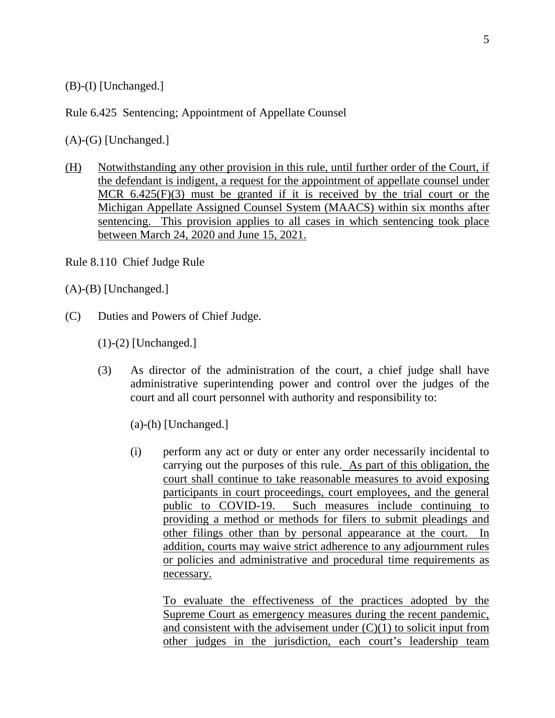(B)-(I) [Unchanged.]

## Rule 6.425 Sentencing; Appointment of Appellate Counsel

(A)-(G) [Unchanged.]

(H) Notwithstanding any other provision in this rule, until further order of the Court, if the defendant is indigent, a request for the appointment of appellate counsel under MCR  $6.425(F)(3)$  must be granted if it is received by the trial court or the Michigan Appellate Assigned Counsel System (MAACS) within six months after sentencing. This provision applies to all cases in which sentencing took place between March 24, 2020 and June 15, 2021.

Rule 8.110 Chief Judge Rule

(A)-(B) [Unchanged.]

(C) Duties and Powers of Chief Judge.

(1)-(2) [Unchanged.]

(3) As director of the administration of the court, a chief judge shall have administrative superintending power and control over the judges of the court and all court personnel with authority and responsibility to:

(a)-(h) [Unchanged.]

(i) perform any act or duty or enter any order necessarily incidental to carrying out the purposes of this rule. As part of this obligation, the court shall continue to take reasonable measures to avoid exposing participants in court proceedings, court employees, and the general public to COVID-19. Such measures include continuing to providing a method or methods for filers to submit pleadings and other filings other than by personal appearance at the court. In addition, courts may waive strict adherence to any adjournment rules or policies and administrative and procedural time requirements as necessary.

To evaluate the effectiveness of the practices adopted by the Supreme Court as emergency measures during the recent pandemic, and consistent with the advisement under  $(C)(1)$  to solicit input from other judges in the jurisdiction, each court's leadership team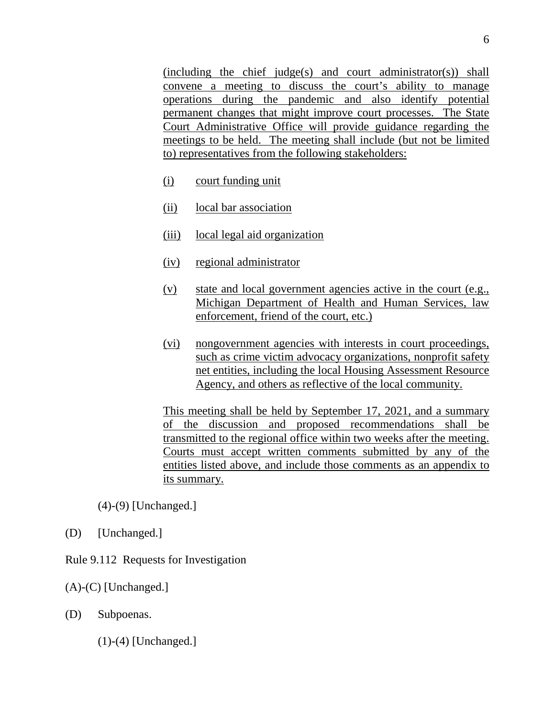(including the chief judge(s) and court administrator(s)) shall convene a meeting to discuss the court's ability to manage operations during the pandemic and also identify potential permanent changes that might improve court processes. The State Court Administrative Office will provide guidance regarding the meetings to be held. The meeting shall include (but not be limited to) representatives from the following stakeholders:

- (i) court funding unit
- (ii) local bar association
- (iii) local legal aid organization
- (iv) regional administrator
- (v) state and local government agencies active in the court (e.g., Michigan Department of Health and Human Services, law enforcement, friend of the court, etc.)
- (vi) nongovernment agencies with interests in court proceedings, such as crime victim advocacy organizations, nonprofit safety net entities, including the local Housing Assessment Resource Agency, and others as reflective of the local community.

This meeting shall be held by September 17, 2021, and a summary of the discussion and proposed recommendations shall be transmitted to the regional office within two weeks after the meeting. Courts must accept written comments submitted by any of the entities listed above, and include those comments as an appendix to its summary.

(4)-(9) [Unchanged.]

- (D) [Unchanged.]
- Rule 9.112 Requests for Investigation
- (A)-(C) [Unchanged.]
- (D) Subpoenas.
	- (1)-(4) [Unchanged.]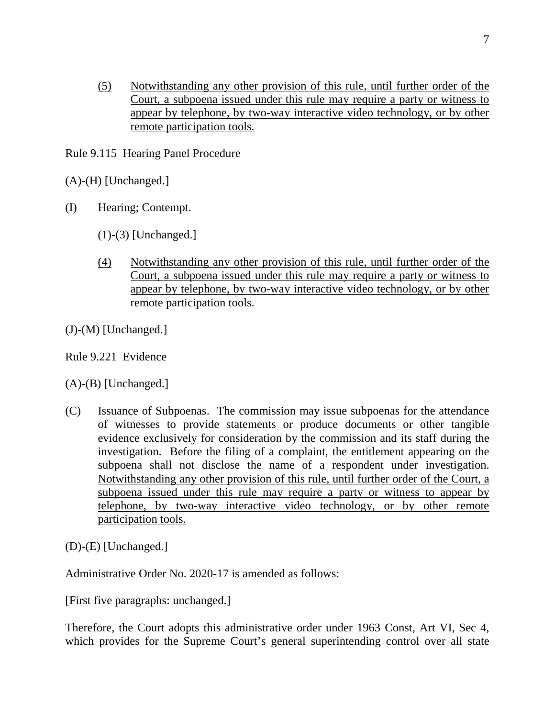(5) Notwithstanding any other provision of this rule, until further order of the Court, a subpoena issued under this rule may require a party or witness to appear by telephone, by two-way interactive video technology, or by other remote participation tools.

Rule 9.115 Hearing Panel Procedure

(A)-(H) [Unchanged.]

- (I) Hearing; Contempt.
	- (1)-(3) [Unchanged.]
	- (4) Notwithstanding any other provision of this rule, until further order of the Court, a subpoena issued under this rule may require a party or witness to appear by telephone, by two-way interactive video technology, or by other remote participation tools.

(J)-(M) [Unchanged.]

Rule 9.221 Evidence

(A)-(B) [Unchanged.]

(C) Issuance of Subpoenas. The commission may issue subpoenas for the attendance of witnesses to provide statements or produce documents or other tangible evidence exclusively for consideration by the commission and its staff during the investigation. Before the filing of a complaint, the entitlement appearing on the subpoena shall not disclose the name of a respondent under investigation. Notwithstanding any other provision of this rule, until further order of the Court, a subpoena issued under this rule may require a party or witness to appear by telephone, by two-way interactive video technology, or by other remote participation tools.

(D)-(E) [Unchanged.]

Administrative Order No. 2020-17 is amended as follows:

[First five paragraphs: unchanged.]

Therefore, the Court adopts this administrative order under 1963 Const, Art VI, Sec 4, which provides for the Supreme Court's general superintending control over all state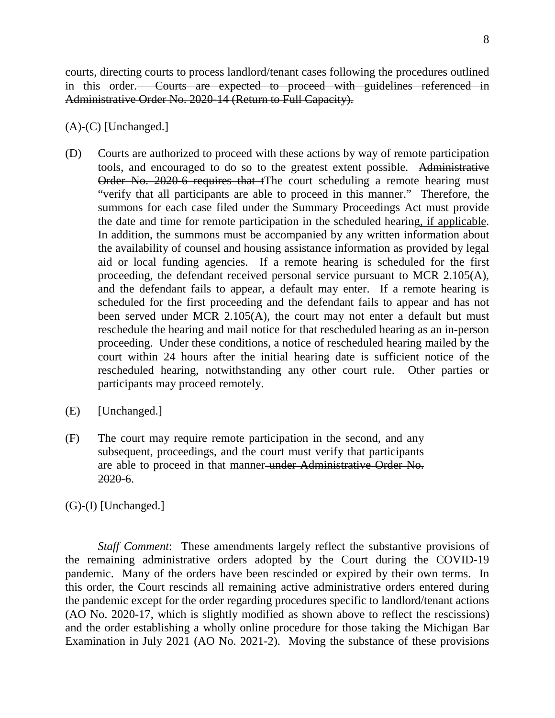courts, directing courts to process landlord/tenant cases following the procedures outlined in this order. Courts are expected to proceed with guidelines referenced in Administrative Order No. 2020-14 (Return to Full Capacity).

- $(A)-(C)$  [Unchanged.]
- (D) Courts are authorized to proceed with these actions by way of remote participation tools, and encouraged to do so to the greatest extent possible. Administrative Order No. 2020-6 requires that tThe court scheduling a remote hearing must "verify that all participants are able to proceed in this manner." Therefore, the summons for each case filed under the Summary Proceedings Act must provide the date and time for remote participation in the scheduled hearing, if applicable. In addition, the summons must be accompanied by any written information about the availability of counsel and housing assistance information as provided by legal aid or local funding agencies. If a remote hearing is scheduled for the first proceeding, the defendant received personal service pursuant to MCR 2.105(A), and the defendant fails to appear, a default may enter. If a remote hearing is scheduled for the first proceeding and the defendant fails to appear and has not been served under MCR 2.105(A), the court may not enter a default but must reschedule the hearing and mail notice for that rescheduled hearing as an in-person proceeding. Under these conditions, a notice of rescheduled hearing mailed by the court within 24 hours after the initial hearing date is sufficient notice of the rescheduled hearing, notwithstanding any other court rule. Other parties or participants may proceed remotely.
- (E) [Unchanged.]
- (F) The court may require remote participation in the second, and any subsequent, proceedings, and the court must verify that participants are able to proceed in that manner under Administrative Order No. 2020-6.

(G)-(I) [Unchanged.]

*Staff Comment*: These amendments largely reflect the substantive provisions of the remaining administrative orders adopted by the Court during the COVID-19 pandemic. Many of the orders have been rescinded or expired by their own terms. In this order, the Court rescinds all remaining active administrative orders entered during the pandemic except for the order regarding procedures specific to landlord/tenant actions (AO No. 2020-17, which is slightly modified as shown above to reflect the rescissions) and the order establishing a wholly online procedure for those taking the Michigan Bar Examination in July 2021 (AO No. 2021-2). Moving the substance of these provisions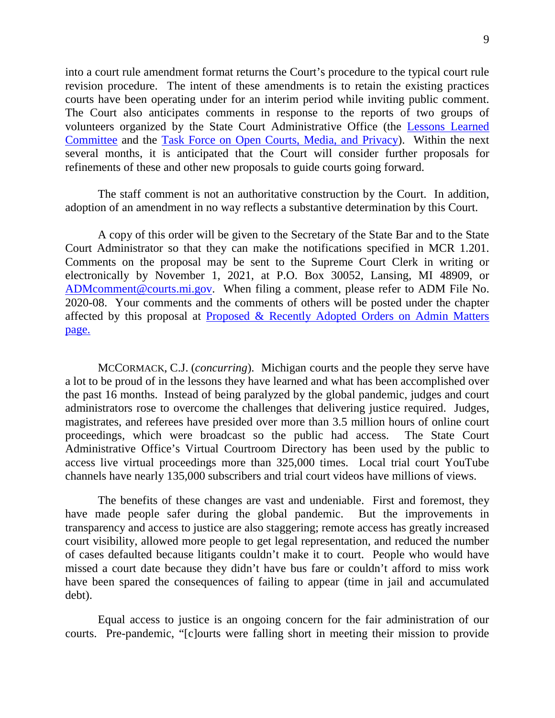into a court rule amendment format returns the Court's procedure to the typical court rule revision procedure. The intent of these amendments is to retain the existing practices courts have been operating under for an interim period while inviting public comment. The Court also anticipates comments in response to the reports of two groups of volunteers organized by the State Court Administrative Office (the [Lessons Learned](https://courts.michigan.gov/News-Events/covid19-resources/COVID19/LessonsLearned.pdf)  [Committee](https://courts.michigan.gov/News-Events/covid19-resources/COVID19/LessonsLearned.pdf) and the [Task Force on Open Courts, Media, and Privacy\)](https://courts.michigan.gov/News-Events/covid19-resources/Documents/Open%20Courts%20Task%20Force%20Draft%20Report%20for%20comment.pdf). Within the next several months, it is anticipated that the Court will consider further proposals for refinements of these and other new proposals to guide courts going forward.

The staff comment is not an authoritative construction by the Court. In addition, adoption of an amendment in no way reflects a substantive determination by this Court.

A copy of this order will be given to the Secretary of the State Bar and to the State Court Administrator so that they can make the notifications specified in MCR 1.201. Comments on the proposal may be sent to the Supreme Court Clerk in writing or electronically by November 1, 2021, at P.O. Box 30052, Lansing, MI 48909, or ADMcomment@courts.mi.gov. When filing a comment, please refer to ADM File No. 2020-08. Your comments and the comments of others will be posted under the chapter affected by this proposal at [Proposed & Recently Adopted Orders on Admin Matters](http://courts.mi.gov/courts/michigansupremecourt/rules/court-rules-admin-matters/pages/default.aspx)  [page.](http://courts.mi.gov/courts/michigansupremecourt/rules/court-rules-admin-matters/pages/default.aspx)

MCCORMACK, C.J. (*concurring*). Michigan courts and the people they serve have a lot to be proud of in the lessons they have learned and what has been accomplished over the past 16 months. Instead of being paralyzed by the global pandemic, judges and court administrators rose to overcome the challenges that delivering justice required. Judges, magistrates, and referees have presided over more than 3.5 million hours of online court proceedings, which were broadcast so the public had access. The State Court Administrative Office's Virtual Courtroom Directory has been used by the public to access live virtual proceedings more than 325,000 times. Local trial court YouTube channels have nearly 135,000 subscribers and trial court videos have millions of views.

The benefits of these changes are vast and undeniable. First and foremost, they have made people safer during the global pandemic. But the improvements in transparency and access to justice are also staggering; remote access has greatly increased court visibility, allowed more people to get legal representation, and reduced the number of cases defaulted because litigants couldn't make it to court. People who would have missed a court date because they didn't have bus fare or couldn't afford to miss work have been spared the consequences of failing to appear (time in jail and accumulated debt).

Equal access to justice is an ongoing concern for the fair administration of our courts. Pre-pandemic, "[c]ourts were falling short in meeting their mission to provide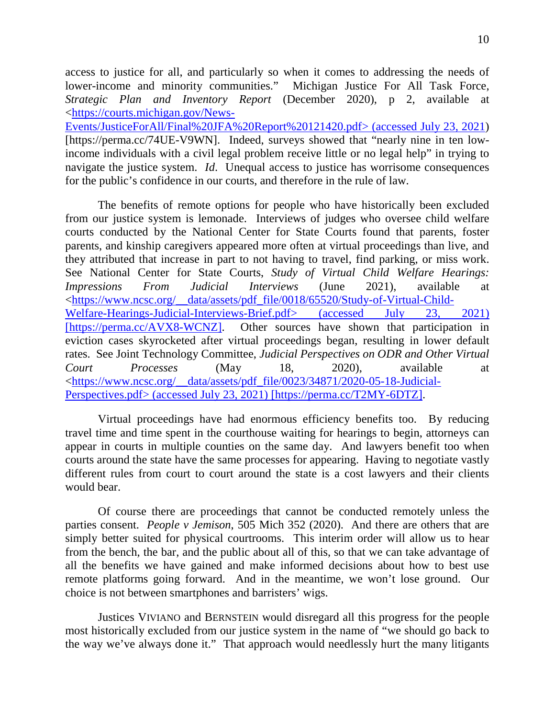access to justice for all, and particularly so when it comes to addressing the needs of lower-income and minority communities." Michigan Justice For All Task Force, *Strategic Plan and Inventory Report* (December 2020), p 2, available at [<https://courts.michigan.gov/News-](https://courts.michigan.gov/News-Events/JusticeForAll/Final%20JFA%20Report%20121420.pdf)[Events/JusticeForAll/Final%20JFA%20Report%20121420.pdf>](https://courts.michigan.gov/News-Events/JusticeForAll/Final%20JFA%20Report%20121420.pdf) (accessed July 23, 2021)

[https://perma.cc/74UE-V9WN]. Indeed, surveys showed that "nearly nine in ten lowincome individuals with a civil legal problem receive little or no legal help" in trying to navigate the justice system. *Id*. Unequal access to justice has worrisome consequences for the public's confidence in our courts, and therefore in the rule of law.

The benefits of remote options for people who have historically been excluded from our justice system is lemonade. Interviews of judges who oversee child welfare courts conducted by the National Center for State Courts found that parents, foster parents, and kinship caregivers appeared more often at virtual proceedings than live, and they attributed that increase in part to not having to travel, find parking, or miss work. See National Center for State Courts, *Study of Virtual Child Welfare Hearings: Impressions From Judicial Interviews* (June 2021), available at [<https://www.ncsc.org/\\_\\_data/assets/pdf\\_file/0018/65520/Study-of-Virtual-Child-](https://www.ncsc.org/__data/assets/pdf_file/0018/65520/Study-of-Virtual-Child-Welfare-Hearings-Judicial-Interviews-Brief.pdf)[Welfare-Hearings-Judicial-Interviews-Brief.pdf>](https://www.ncsc.org/__data/assets/pdf_file/0018/65520/Study-of-Virtual-Child-Welfare-Hearings-Judicial-Interviews-Brief.pdf) (accessed July 23, 2021) [https://perma.cc/AVX8-WCNZ]. Other sources have shown that participation in eviction cases skyrocketed after virtual proceedings began, resulting in lower default rates. See Joint Technology Committee, *Judicial Perspectives on ODR and Other Virtual Court Processes* (May 18, 2020), available at [<https://www.ncsc.org/\\_\\_data/assets/pdf\\_file/0023/34871/2020-05-18-Judicial-](https://www.ncsc.org/__data/assets/pdf_file/0023/34871/2020-05-18-Judicial-Perspectives.pdf)[Perspectives.pdf>](https://www.ncsc.org/__data/assets/pdf_file/0023/34871/2020-05-18-Judicial-Perspectives.pdf) (accessed July 23, 2021) [https://perma.cc/T2MY-6DTZ].

Virtual proceedings have had enormous efficiency benefits too. By reducing travel time and time spent in the courthouse waiting for hearings to begin, attorneys can appear in courts in multiple counties on the same day. And lawyers benefit too when courts around the state have the same processes for appearing. Having to negotiate vastly different rules from court to court around the state is a cost lawyers and their clients would bear.

Of course there are proceedings that cannot be conducted remotely unless the parties consent. *People v Jemison*, 505 Mich 352 (2020). And there are others that are simply better suited for physical courtrooms. This interim order will allow us to hear from the bench, the bar, and the public about all of this, so that we can take advantage of all the benefits we have gained and make informed decisions about how to best use remote platforms going forward. And in the meantime, we won't lose ground. Our choice is not between smartphones and barristers' wigs.

Justices VIVIANO and BERNSTEIN would disregard all this progress for the people most historically excluded from our justice system in the name of "we should go back to the way we've always done it." That approach would needlessly hurt the many litigants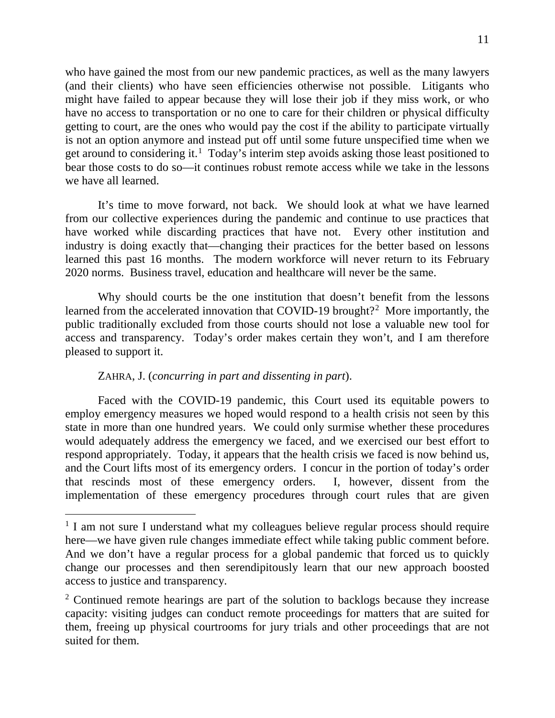who have gained the most from our new pandemic practices, as well as the many lawyers (and their clients) who have seen efficiencies otherwise not possible. Litigants who might have failed to appear because they will lose their job if they miss work, or who have no access to transportation or no one to care for their children or physical difficulty getting to court, are the ones who would pay the cost if the ability to participate virtually is not an option anymore and instead put off until some future unspecified time when we get around to considering it.<sup>[1](#page-10-0)</sup> Today's interim step avoids asking those least positioned to bear those costs to do so—it continues robust remote access while we take in the lessons we have all learned.

It's time to move forward, not back. We should look at what we have learned from our collective experiences during the pandemic and continue to use practices that have worked while discarding practices that have not. Every other institution and industry is doing exactly that—changing their practices for the better based on lessons learned this past 16 months. The modern workforce will never return to its February 2020 norms. Business travel, education and healthcare will never be the same.

Why should courts be the one institution that doesn't benefit from the lessons learned from the accelerated innovation that COVID-19 brought?<sup>[2](#page-10-1)</sup> More importantly, the public traditionally excluded from those courts should not lose a valuable new tool for access and transparency. Today's order makes certain they won't, and I am therefore pleased to support it.

## ZAHRA, J. (*concurring in part and dissenting in part*).

Faced with the COVID-19 pandemic, this Court used its equitable powers to employ emergency measures we hoped would respond to a health crisis not seen by this state in more than one hundred years. We could only surmise whether these procedures would adequately address the emergency we faced, and we exercised our best effort to respond appropriately. Today, it appears that the health crisis we faced is now behind us, and the Court lifts most of its emergency orders. I concur in the portion of today's order that rescinds most of these emergency orders. I, however, dissent from the implementation of these emergency procedures through court rules that are given

<span id="page-10-0"></span><sup>&</sup>lt;sup>1</sup> I am not sure I understand what my colleagues believe regular process should require here—we have given rule changes immediate effect while taking public comment before. And we don't have a regular process for a global pandemic that forced us to quickly change our processes and then serendipitously learn that our new approach boosted access to justice and transparency.

<span id="page-10-1"></span><sup>&</sup>lt;sup>2</sup> Continued remote hearings are part of the solution to backlogs because they increase capacity: visiting judges can conduct remote proceedings for matters that are suited for them, freeing up physical courtrooms for jury trials and other proceedings that are not suited for them.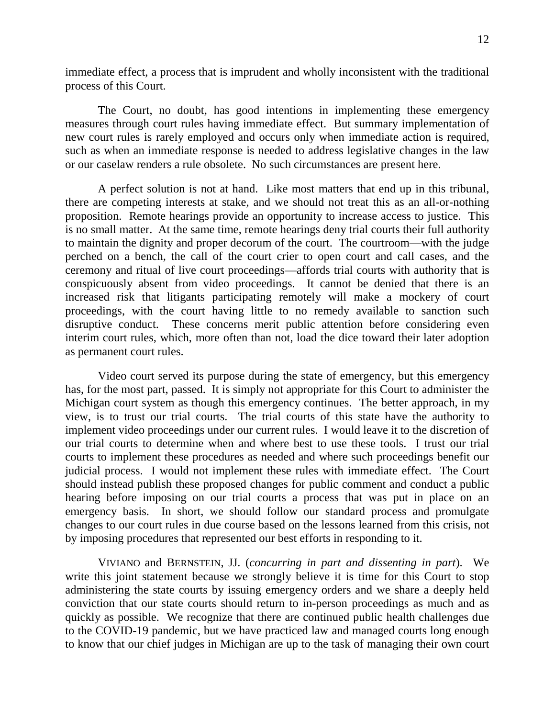immediate effect, a process that is imprudent and wholly inconsistent with the traditional process of this Court.

The Court, no doubt, has good intentions in implementing these emergency measures through court rules having immediate effect. But summary implementation of new court rules is rarely employed and occurs only when immediate action is required, such as when an immediate response is needed to address legislative changes in the law or our caselaw renders a rule obsolete. No such circumstances are present here.

A perfect solution is not at hand. Like most matters that end up in this tribunal, there are competing interests at stake, and we should not treat this as an all-or-nothing proposition. Remote hearings provide an opportunity to increase access to justice. This is no small matter. At the same time, remote hearings deny trial courts their full authority to maintain the dignity and proper decorum of the court. The courtroom—with the judge perched on a bench, the call of the court crier to open court and call cases, and the ceremony and ritual of live court proceedings—affords trial courts with authority that is conspicuously absent from video proceedings. It cannot be denied that there is an increased risk that litigants participating remotely will make a mockery of court proceedings, with the court having little to no remedy available to sanction such disruptive conduct. These concerns merit public attention before considering even interim court rules, which, more often than not, load the dice toward their later adoption as permanent court rules.

Video court served its purpose during the state of emergency, but this emergency has, for the most part, passed. It is simply not appropriate for this Court to administer the Michigan court system as though this emergency continues. The better approach, in my view, is to trust our trial courts. The trial courts of this state have the authority to implement video proceedings under our current rules. I would leave it to the discretion of our trial courts to determine when and where best to use these tools. I trust our trial courts to implement these procedures as needed and where such proceedings benefit our judicial process. I would not implement these rules with immediate effect. The Court should instead publish these proposed changes for public comment and conduct a public hearing before imposing on our trial courts a process that was put in place on an emergency basis. In short, we should follow our standard process and promulgate changes to our court rules in due course based on the lessons learned from this crisis, not by imposing procedures that represented our best efforts in responding to it.

VIVIANO and BERNSTEIN, JJ. (*concurring in part and dissenting in part*). We write this joint statement because we strongly believe it is time for this Court to stop administering the state courts by issuing emergency orders and we share a deeply held conviction that our state courts should return to in-person proceedings as much and as quickly as possible. We recognize that there are continued public health challenges due to the COVID-19 pandemic, but we have practiced law and managed courts long enough to know that our chief judges in Michigan are up to the task of managing their own court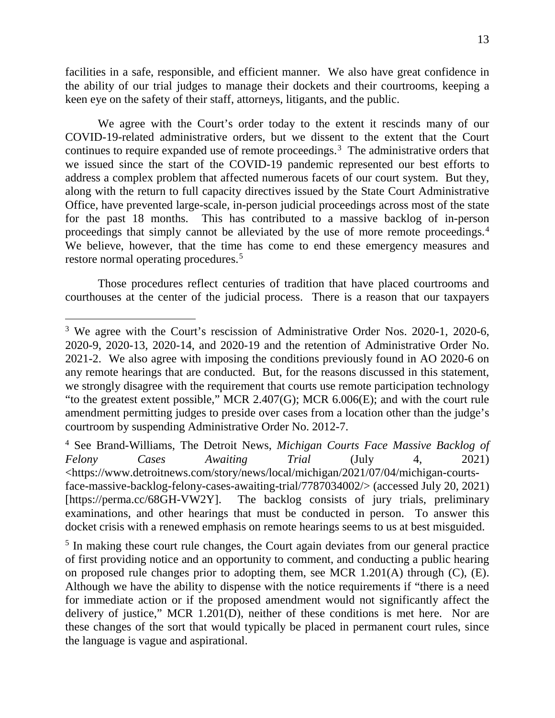facilities in a safe, responsible, and efficient manner. We also have great confidence in the ability of our trial judges to manage their dockets and their courtrooms, keeping a keen eye on the safety of their staff, attorneys, litigants, and the public.

We agree with the Court's order today to the extent it rescinds many of our COVID-19-related administrative orders, but we dissent to the extent that the Court continues to require expanded use of remote proceedings.<sup>[3](#page-12-0)</sup> The administrative orders that we issued since the start of the COVID-19 pandemic represented our best efforts to address a complex problem that affected numerous facets of our court system. But they, along with the return to full capacity directives issued by the State Court Administrative Office, have prevented large-scale, in-person judicial proceedings across most of the state for the past 18 months. This has contributed to a massive backlog of in-person proceedings that simply cannot be alleviated by the use of more remote proceedings.<sup>[4](#page-12-1)</sup> We believe, however, that the time has come to end these emergency measures and restore normal operating procedures.<sup>[5](#page-12-2)</sup>

Those procedures reflect centuries of tradition that have placed courtrooms and courthouses at the center of the judicial process. There is a reason that our taxpayers

<span id="page-12-0"></span><sup>&</sup>lt;sup>3</sup> We agree with the Court's rescission of Administrative Order Nos. 2020-1, 2020-6, 2020-9, 2020-13, 2020-14, and 2020-19 and the retention of Administrative Order No. 2021-2. We also agree with imposing the conditions previously found in AO 2020-6 on any remote hearings that are conducted. But, for the reasons discussed in this statement, we strongly disagree with the requirement that courts use remote participation technology "to the greatest extent possible," MCR 2.407(G); MCR 6.006(E); and with the court rule amendment permitting judges to preside over cases from a location other than the judge's courtroom by suspending Administrative Order No. 2012-7.

<span id="page-12-1"></span><sup>4</sup> See Brand-Williams, The Detroit News, *Michigan Courts Face Massive Backlog of Felony Cases Awaiting Trial* (July 4, 2021) <https://www.detroitnews.com/story/news/local/michigan/2021/07/04/michigan-courtsface-massive-backlog-felony-cases-awaiting-trial/7787034002/> (accessed July 20, 2021) [https://perma.cc/68GH-VW2Y]. The backlog consists of jury trials, preliminary examinations, and other hearings that must be conducted in person. To answer this docket crisis with a renewed emphasis on remote hearings seems to us at best misguided.

<span id="page-12-2"></span><sup>&</sup>lt;sup>5</sup> In making these court rule changes, the Court again deviates from our general practice of first providing notice and an opportunity to comment, and conducting a public hearing on proposed rule changes prior to adopting them, see MCR 1.201(A) through (C), (E). Although we have the ability to dispense with the notice requirements if "there is a need for immediate action or if the proposed amendment would not significantly affect the delivery of justice," MCR 1.201(D), neither of these conditions is met here. Nor are these changes of the sort that would typically be placed in permanent court rules, since the language is vague and aspirational.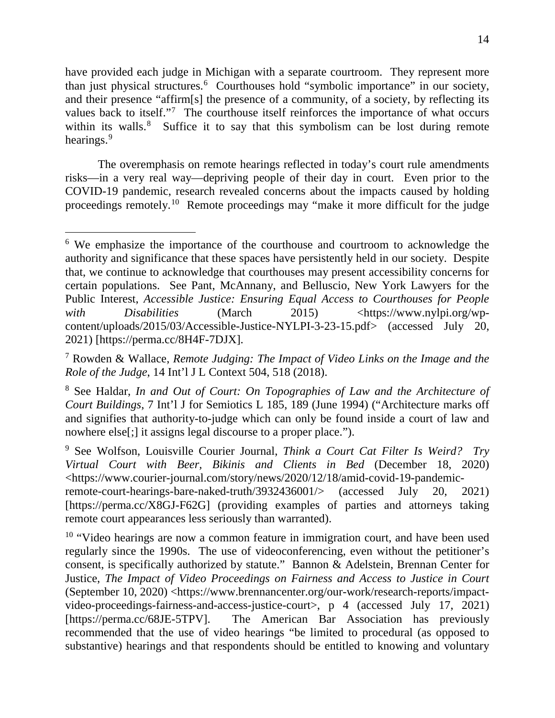have provided each judge in Michigan with a separate courtroom. They represent more than just physical structures.<sup>[6](#page-13-0)</sup> Courthouses hold "symbolic importance" in our society, and their presence "affirm[s] the presence of a community, of a society, by reflecting its values back to itself."<sup>[7](#page-13-1)</sup> The courthouse itself reinforces the importance of what occurs within its walls.<sup>[8](#page-13-2)</sup> Suffice it to say that this symbolism can be lost during remote hearings.<sup>[9](#page-13-3)</sup>

The overemphasis on remote hearings reflected in today's court rule amendments risks—in a very real way—depriving people of their day in court. Even prior to the COVID-19 pandemic, research revealed concerns about the impacts caused by holding proceedings remotely.[10](#page-13-4) Remote proceedings may "make it more difficult for the judge

<span id="page-13-0"></span><sup>&</sup>lt;sup>6</sup> We emphasize the importance of the courthouse and courtroom to acknowledge the authority and significance that these spaces have persistently held in our society. Despite that, we continue to acknowledge that courthouses may present accessibility concerns for certain populations. See Pant, McAnnany, and Belluscio, New York Lawyers for the Public Interest, *Accessible Justice: Ensuring Equal Access to Courthouses for People*  with Disabilities (March 2015) <https://www.nylpi.org/wpcontent/uploads/2015/03/Accessible-Justice-NYLPI-3-23-15.pdf> (accessed July 20, 2021) [https://perma.cc/8H4F-7DJX].

<span id="page-13-1"></span><sup>7</sup> Rowden & Wallace, *Remote Judging: The Impact of Video Links on the Image and the Role of the Judge*, 14 Int'l J L Context 504, 518 (2018).

<span id="page-13-2"></span><sup>8</sup> See Haldar, *In and Out of Court: On Topographies of Law and the Architecture of Court Buildings*, 7 Int'l J for Semiotics L 185, 189 (June 1994) ("Architecture marks off and signifies that authority-to-judge which can only be found inside a court of law and nowhere else<sup>[</sup>;] it assigns legal discourse to a proper place.").

<span id="page-13-3"></span><sup>9</sup> See Wolfson, Louisville Courier Journal, *Think a Court Cat Filter Is Weird? Try Virtual Court with Beer, Bikinis and Clients in Bed* (December 18, 2020) <https://www.courier-journal.com/story/news/2020/12/18/amid-covid-19-pandemic-

remote-court-hearings-bare-naked-truth/3932436001/> (accessed July 20, 2021) [https://perma.cc/X8GJ-F62G] (providing examples of parties and attorneys taking remote court appearances less seriously than warranted).

<span id="page-13-4"></span><sup>&</sup>lt;sup>10</sup> "Video hearings are now a common feature in immigration court, and have been used regularly since the 1990s. The use of videoconferencing, even without the petitioner's consent, is specifically authorized by statute." Bannon & Adelstein, Brennan Center for Justice, *The Impact of Video Proceedings on Fairness and Access to Justice in Court* (September 10, 2020) <https://www.brennancenter.org/our-work/research-reports/impactvideo-proceedings-fairness-and-access-justice-court>, p 4 (accessed July 17, 2021) [https://perma.cc/68JE-5TPV]. The American Bar Association has previously recommended that the use of video hearings "be limited to procedural (as opposed to substantive) hearings and that respondents should be entitled to knowing and voluntary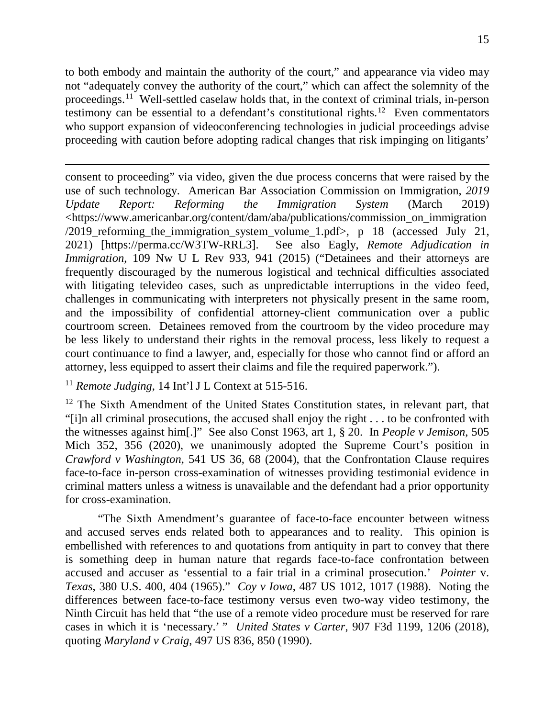15

to both embody and maintain the authority of the court," and appearance via video may not "adequately convey the authority of the court," which can affect the solemnity of the proceedings.[11](#page-14-0) Well-settled caselaw holds that, in the context of criminal trials, in-person testimony can be essential to a defendant's constitutional rights.<sup>12</sup> Even commentators who support expansion of videoconferencing technologies in judicial proceedings advise proceeding with caution before adopting radical changes that risk impinging on litigants'

consent to proceeding" via video, given the due process concerns that were raised by the use of such technology. American Bar Association Commission on Immigration, *2019 Update Report: Reforming the Immigration System* (March 2019) <https://www.americanbar.org/content/dam/aba/publications/commission\_on\_immigration /2019\_reforming\_the\_immigration\_system\_volume\_1.pdf>, p 18 (accessed July 21, 2021) [https://perma.cc/W3TW-RRL3]. See also Eagly, *Remote Adjudication in Immigration*, 109 Nw U L Rev 933, 941 (2015) ("Detainees and their attorneys are frequently discouraged by the numerous logistical and technical difficulties associated with litigating televideo cases, such as unpredictable interruptions in the video feed, challenges in communicating with interpreters not physically present in the same room, and the impossibility of confidential attorney-client communication over a public courtroom screen. Detainees removed from the courtroom by the video procedure may be less likely to understand their rights in the removal process, less likely to request a court continuance to find a lawyer, and, especially for those who cannot find or afford an attorney, less equipped to assert their claims and file the required paperwork.").

<span id="page-14-0"></span><sup>11</sup> *Remote Judging*, 14 Int'l J L Context at 515-516.

 $\overline{a}$ 

<span id="page-14-1"></span><sup>12</sup> The Sixth Amendment of the United States Constitution states, in relevant part, that "[i]n all criminal prosecutions, the accused shall enjoy the right . . . to be confronted with the witnesses against him[.]" See also Const 1963, art 1, § 20. In *People v Jemison*, 505 Mich 352, 356 (2020), we unanimously adopted the Supreme Court's position in *Crawford v Washington*, 541 US 36, 68 (2004), that the Confrontation Clause requires face-to-face in-person cross-examination of witnesses providing testimonial evidence in criminal matters unless a witness is unavailable and the defendant had a prior opportunity for cross-examination.

"The Sixth Amendment's guarantee of face-to-face encounter between witness and accused serves ends related both to appearances and to reality. This opinion is embellished with references to and quotations from antiquity in part to convey that there is something deep in human nature that regards face-to-face confrontation between accused and accuser as 'essential to a fair trial in a criminal prosecution.' *Pointer* v. *Texas*, 380 U.S. 400, 404 (1965)." *Coy v Iowa*, 487 US 1012, 1017 (1988). Noting the differences between face-to-face testimony versus even two-way video testimony, the Ninth Circuit has held that "the use of a remote video procedure must be reserved for rare cases in which it is 'necessary.' " *United States v Carter*, 907 F3d 1199, 1206 (2018), quoting *Maryland v Craig*, 497 US 836, 850 (1990).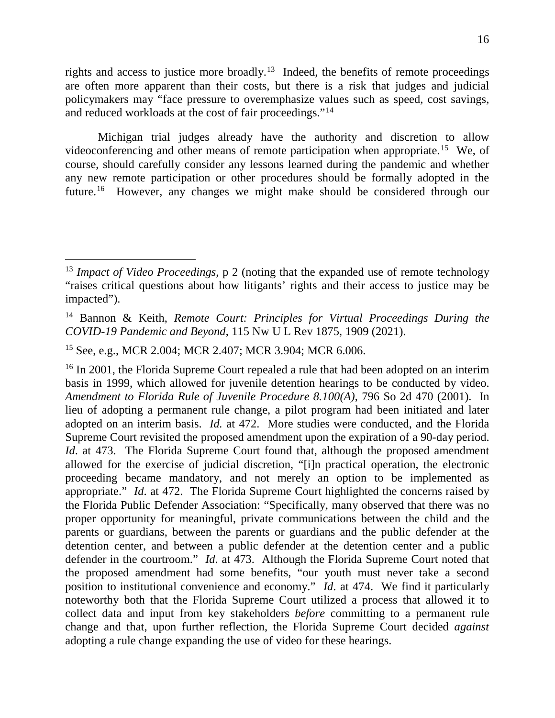rights and access to justice more broadly.[13](#page-15-0) Indeed, the benefits of remote proceedings are often more apparent than their costs, but there is a risk that judges and judicial policymakers may "face pressure to overemphasize values such as speed, cost savings, and reduced workloads at the cost of fair proceedings."[14](#page-15-1)

Michigan trial judges already have the authority and discretion to allow videoconferencing and other means of remote participation when appropriate.[15](#page-15-2) We, of course, should carefully consider any lessons learned during the pandemic and whether any new remote participation or other procedures should be formally adopted in the future.[16](#page-15-3) However, any changes we might make should be considered through our

<span id="page-15-0"></span><sup>&</sup>lt;sup>13</sup> *Impact of Video Proceedings*, p 2 (noting that the expanded use of remote technology "raises critical questions about how litigants' rights and their access to justice may be impacted").

<span id="page-15-1"></span><sup>14</sup> Bannon & Keith, *Remote Court: Principles for Virtual Proceedings During the COVID-19 Pandemic and Beyond*, 115 Nw U L Rev 1875, 1909 (2021).

<span id="page-15-2"></span><sup>15</sup> See, e.g., MCR 2.004; MCR 2.407; MCR 3.904; MCR 6.006.

<span id="page-15-3"></span><sup>&</sup>lt;sup>16</sup> In 2001, the Florida Supreme Court repealed a rule that had been adopted on an interim basis in 1999, which allowed for juvenile detention hearings to be conducted by video. *Amendment to Florida Rule of Juvenile Procedure 8.100(A)*, 796 So 2d 470 (2001). In lieu of adopting a permanent rule change, a pilot program had been initiated and later adopted on an interim basis. *Id.* at 472. More studies were conducted, and the Florida Supreme Court revisited the proposed amendment upon the expiration of a 90-day period. *Id.* at 473. The Florida Supreme Court found that, although the proposed amendment allowed for the exercise of judicial discretion, "[i]n practical operation, the electronic proceeding became mandatory, and not merely an option to be implemented as appropriate." *Id*. at 472. The Florida Supreme Court highlighted the concerns raised by the Florida Public Defender Association: "Specifically, many observed that there was no proper opportunity for meaningful, private communications between the child and the parents or guardians, between the parents or guardians and the public defender at the detention center, and between a public defender at the detention center and a public defender in the courtroom." *Id*. at 473. Although the Florida Supreme Court noted that the proposed amendment had some benefits, "our youth must never take a second position to institutional convenience and economy." *Id*. at 474. We find it particularly noteworthy both that the Florida Supreme Court utilized a process that allowed it to collect data and input from key stakeholders *before* committing to a permanent rule change and that, upon further reflection, the Florida Supreme Court decided *against* adopting a rule change expanding the use of video for these hearings.